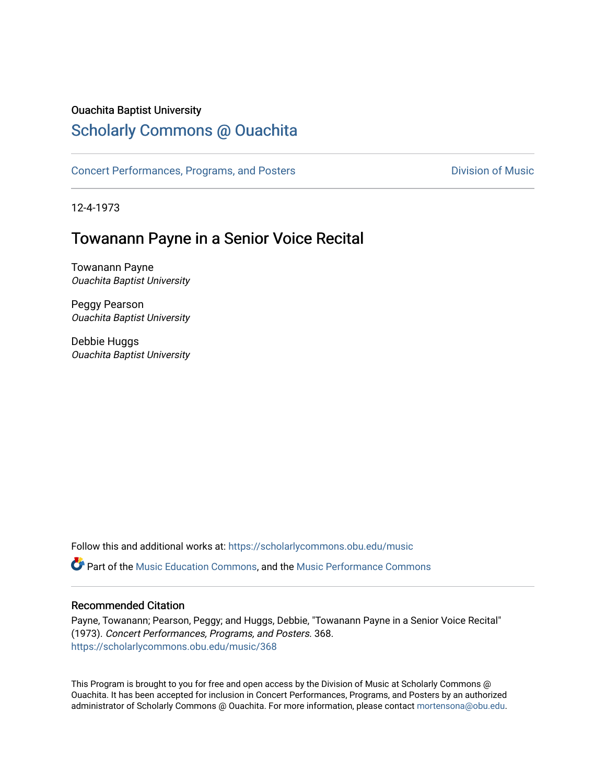## Ouachita Baptist University

# [Scholarly Commons @ Ouachita](https://scholarlycommons.obu.edu/)

[Concert Performances, Programs, and Posters](https://scholarlycommons.obu.edu/music) **Division of Music** Division of Music

12-4-1973

## Towanann Payne in a Senior Voice Recital

Towanann Payne Ouachita Baptist University

Peggy Pearson Ouachita Baptist University

Debbie Huggs Ouachita Baptist University

Follow this and additional works at: [https://scholarlycommons.obu.edu/music](https://scholarlycommons.obu.edu/music?utm_source=scholarlycommons.obu.edu%2Fmusic%2F368&utm_medium=PDF&utm_campaign=PDFCoverPages) 

Part of the [Music Education Commons,](http://network.bepress.com/hgg/discipline/1246?utm_source=scholarlycommons.obu.edu%2Fmusic%2F368&utm_medium=PDF&utm_campaign=PDFCoverPages) and the [Music Performance Commons](http://network.bepress.com/hgg/discipline/1128?utm_source=scholarlycommons.obu.edu%2Fmusic%2F368&utm_medium=PDF&utm_campaign=PDFCoverPages) 

### Recommended Citation

Payne, Towanann; Pearson, Peggy; and Huggs, Debbie, "Towanann Payne in a Senior Voice Recital" (1973). Concert Performances, Programs, and Posters. 368. [https://scholarlycommons.obu.edu/music/368](https://scholarlycommons.obu.edu/music/368?utm_source=scholarlycommons.obu.edu%2Fmusic%2F368&utm_medium=PDF&utm_campaign=PDFCoverPages) 

This Program is brought to you for free and open access by the Division of Music at Scholarly Commons @ Ouachita. It has been accepted for inclusion in Concert Performances, Programs, and Posters by an authorized administrator of Scholarly Commons @ Ouachita. For more information, please contact [mortensona@obu.edu](mailto:mortensona@obu.edu).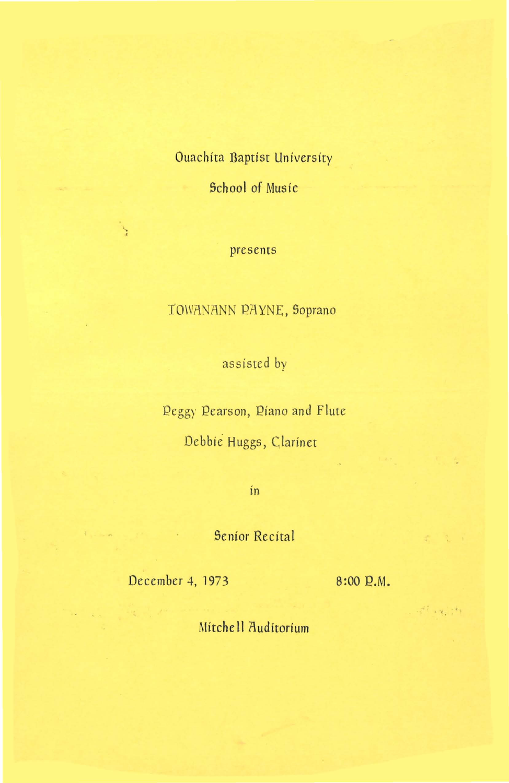## Ouachita Baptist University

School of Music

#### presents

## TOWANANN PAYNE, Soprano

assisted by

Peggy Pearson, Piano and Flute

Debbie Huggs, Clarinet

in

Senior Recital

December 4, 1973 8:00 P.M.

 $\mathcal{F}^{(1)} \rightarrow \mathcal{H}^{(1)}_{\mathcal{E}} \mathcal{F}^{(2)}_{\mathcal{E}}$ 

Mitchell Auditorium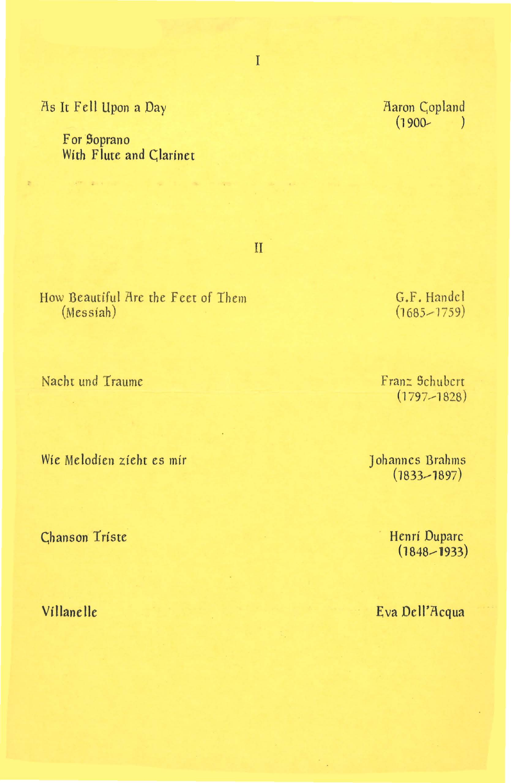As It Fell Upon a Day

**VINCENT COMPANY** 

For Soprano With Flute and Clarinet

 $\mathbf{I}$ 

How Beautiful Are the Feet of Them  $(Messiah)$ 

Nacht und Traume

Wie Melodien zieht es mir

**Chanson Triste** 

Villanelle

G.F. Handel  $(1685 - 1759)$ 

Franz Schubert  $(1797 - 1828)$ 

Johannes Brahms  $(1833 - 1897)$ 

> Henri Duparc  $(1848 - 1933)$

Eva Dell'Acqua

T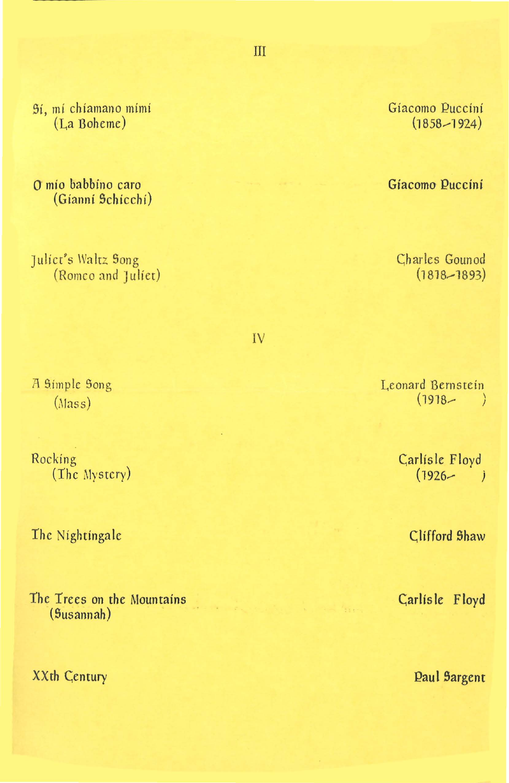Sí, mí chiamano mimi (La Boheme)

O mío babbino caro (Gianni Schicchi)

Juliet's Waltz Song (Romeo and Juliet)

A Simple Song  $(Mass)$ 

Rocking (The Mystery)

The Nightingale

The Trees on the Mountains (Susannah)

XXth Century

Gíacomo Puccíní  $(1858 - 1924)$ 

Gíacomo Puccini

Charles Gounod  $(1818 - 1893)$ 

IV

Leonard Bernstein  $(1918 \rightarrow$ 

> Carlisle Floyd  $(1926 - )$

> > Clifford Shaw

Carlisle Floyd

**Paul Sargent** 

III